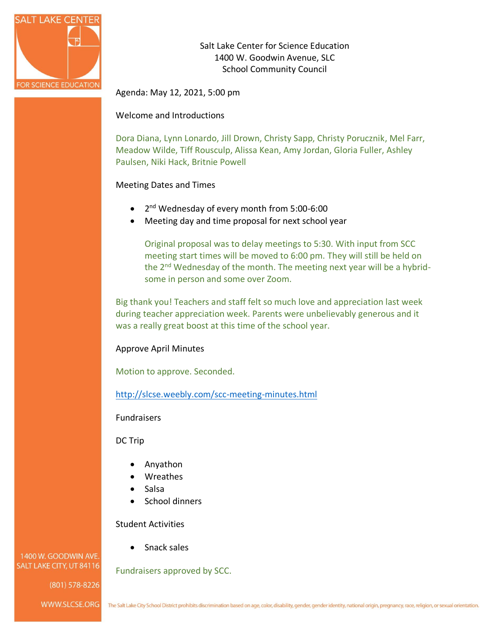

Salt Lake Center for Science Education 1400 W. Goodwin Avenue, SLC School Community Council

Agenda: May 12, 2021, 5:00 pm

Welcome and Introductions

Dora Diana, Lynn Lonardo, Jill Drown, Christy Sapp, Christy Porucznik, Mel Farr, Meadow Wilde, Tiff Rousculp, Alissa Kean, Amy Jordan, Gloria Fuller, Ashley Paulsen, Niki Hack, Britnie Powell

### Meeting Dates and Times

- 2<sup>nd</sup> Wednesday of every month from 5:00-6:00
- Meeting day and time proposal for next school year

Original proposal was to delay meetings to 5:30. With input from SCC meeting start times will be moved to 6:00 pm. They will still be held on the 2nd Wednesday of the month. The meeting next year will be a hybridsome in person and some over Zoom.

Big thank you! Teachers and staff felt so much love and appreciation last week during teacher appreciation week. Parents were unbelievably generous and it was a really great boost at this time of the school year.

### Approve April Minutes

Motion to approve. Seconded.

<http://slcse.weebly.com/scc-meeting-minutes.html>

Fundraisers

DC Trip

- Anyathon
- Wreathes
- Salsa
- School dinners

Student Activities

• Snack sales

Fundraisers approved by SCC.

1400 W. GOODWIN AVE. SALT LAKE CITY, UT 84116

(801) 578-8226

WWW.SLCSE.ORG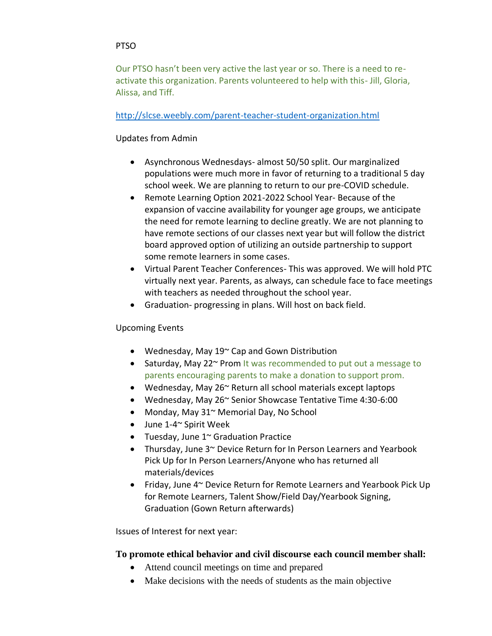### **PTSO**

Our PTSO hasn't been very active the last year or so. There is a need to reactivate this organization. Parents volunteered to help with this- Jill, Gloria, Alissa, and Tiff.

### <http://slcse.weebly.com/parent-teacher-student-organization.html>

## Updates from Admin

- Asynchronous Wednesdays- almost 50/50 split. Our marginalized populations were much more in favor of returning to a traditional 5 day school week. We are planning to return to our pre-COVID schedule.
- Remote Learning Option 2021-2022 School Year- Because of the expansion of vaccine availability for younger age groups, we anticipate the need for remote learning to decline greatly. We are not planning to have remote sections of our classes next year but will follow the district board approved option of utilizing an outside partnership to support some remote learners in some cases.
- Virtual Parent Teacher Conferences- This was approved. We will hold PTC virtually next year. Parents, as always, can schedule face to face meetings with teachers as needed throughout the school year.
- Graduation- progressing in plans. Will host on back field.

### Upcoming Events

- Wednesday, May 19~ Cap and Gown Distribution
- Saturday, May 22~ Prom It was recommended to put out a message to parents encouraging parents to make a donation to support prom.
- Wednesday, May 26~ Return all school materials except laptops
- Wednesday, May 26~ Senior Showcase Tentative Time 4:30-6:00
- Monday, May 31~ Memorial Day, No School
- June 1-4~ Spirit Week
- Tuesday, June 1~ Graduation Practice
- Thursday, June  $3^{\sim}$  Device Return for In Person Learners and Yearbook Pick Up for In Person Learners/Anyone who has returned all materials/devices
- Friday, June 4~ Device Return for Remote Learners and Yearbook Pick Up for Remote Learners, Talent Show/Field Day/Yearbook Signing, Graduation (Gown Return afterwards)

Issues of Interest for next year:

# **To promote ethical behavior and civil discourse each council member shall:**

- Attend council meetings on time and prepared
- Make decisions with the needs of students as the main objective